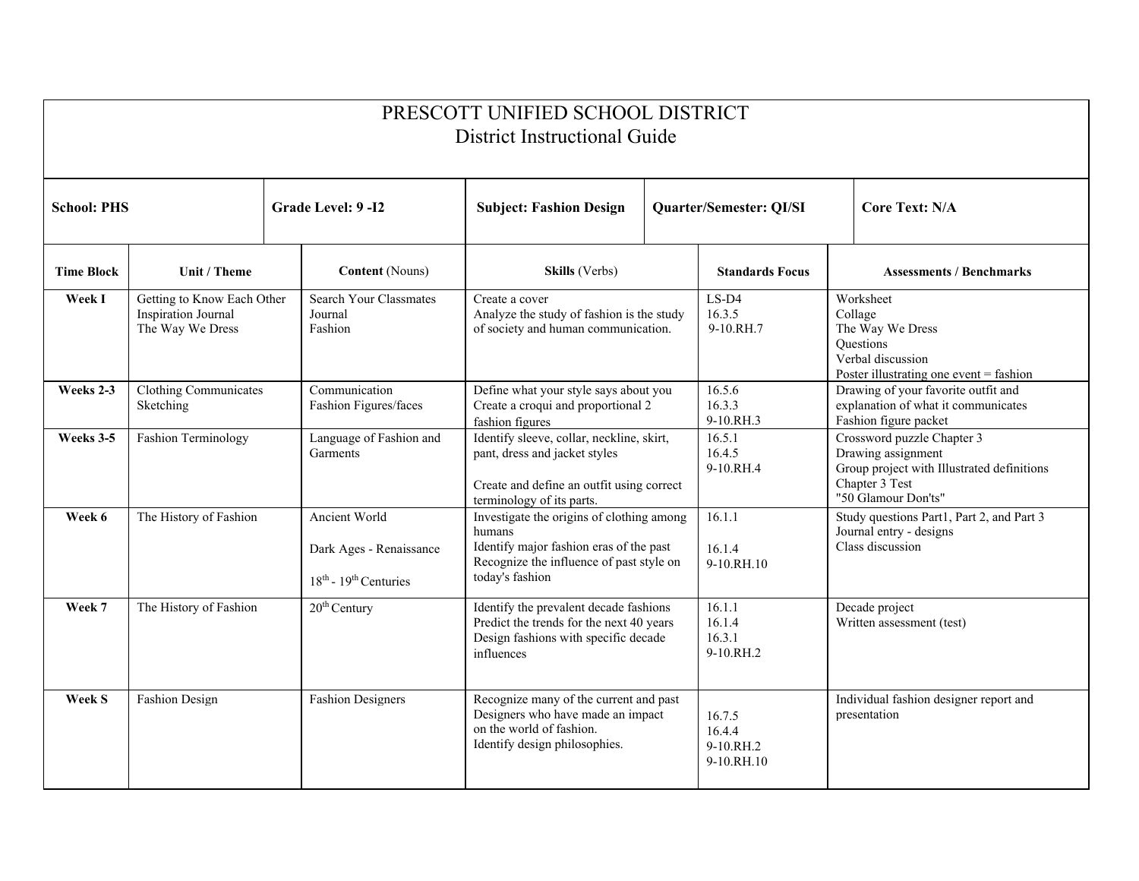| PRESCOTT UNIFIED SCHOOL DISTRICT<br><b>District Instructional Guide</b> |                                                                                                                                                                                                                    |                                                                                                                                          |                                                                                                                                                               |                                         |                                                                                                                                         |                                                                                                                       |                |  |  |  |  |
|-------------------------------------------------------------------------|--------------------------------------------------------------------------------------------------------------------------------------------------------------------------------------------------------------------|------------------------------------------------------------------------------------------------------------------------------------------|---------------------------------------------------------------------------------------------------------------------------------------------------------------|-----------------------------------------|-----------------------------------------------------------------------------------------------------------------------------------------|-----------------------------------------------------------------------------------------------------------------------|----------------|--|--|--|--|
| <b>School: PHS</b>                                                      |                                                                                                                                                                                                                    | Grade Level: 9-I2                                                                                                                        | <b>Subject: Fashion Design</b>                                                                                                                                | Quarter/Semester: QI/SI                 |                                                                                                                                         |                                                                                                                       | Core Text: N/A |  |  |  |  |
| <b>Time Block</b>                                                       | Unit / Theme                                                                                                                                                                                                       | <b>Content</b> (Nouns)                                                                                                                   | Skills (Verbs)                                                                                                                                                |                                         | <b>Standards Focus</b>                                                                                                                  | <b>Assessments / Benchmarks</b>                                                                                       |                |  |  |  |  |
| Week I                                                                  | Getting to Know Each Other<br>Inspiration Journal<br>The Way We Dress                                                                                                                                              | <b>Search Your Classmates</b><br>Journal<br>Fashion                                                                                      | Create a cover<br>Analyze the study of fashion is the study<br>of society and human communication.                                                            |                                         | $LS-D4$<br>16.3.5<br>9-10.RH.7                                                                                                          | Worksheet<br>Collage<br>The Way We Dress<br>Questions<br>Verbal discussion<br>Poster illustrating one event = fashion |                |  |  |  |  |
| Weeks 2-3                                                               | Clothing Communicates<br>Sketching                                                                                                                                                                                 | Communication<br>Define what your style says about you<br>Fashion Figures/faces<br>Create a croqui and proportional 2<br>fashion figures |                                                                                                                                                               |                                         | 16.5.6<br>16.3.3<br>9-10.RH.3                                                                                                           | Drawing of your favorite outfit and<br>explanation of what it communicates<br>Fashion figure packet                   |                |  |  |  |  |
| Weeks 3-5                                                               | Identify sleeve, collar, neckline, skirt,<br>Language of Fashion and<br>Fashion Terminology<br>Garments<br>pant, dress and jacket styles<br>Create and define an outfit using correct<br>terminology of its parts. |                                                                                                                                          |                                                                                                                                                               | 16.5.1<br>16.4.5<br>9-10.RH.4           | Crossword puzzle Chapter 3<br>Drawing assignment<br>Group project with Illustrated definitions<br>Chapter 3 Test<br>"50 Glamour Don'ts" |                                                                                                                       |                |  |  |  |  |
| Week 6                                                                  | The History of Fashion                                                                                                                                                                                             | Ancient World<br>Dark Ages - Renaissance<br>$18th$ - $19th$ Centuries                                                                    | Investigate the origins of clothing among<br>humans<br>Identify major fashion eras of the past<br>Recognize the influence of past style on<br>today's fashion |                                         | 16.1.1<br>16.1.4<br>9-10.RH.10                                                                                                          | Study questions Part1, Part 2, and Part 3<br>Journal entry - designs<br>Class discussion                              |                |  |  |  |  |
| Week 7                                                                  | The History of Fashion<br>Identify the prevalent decade fashions<br>$20th$ Century<br>Predict the trends for the next 40 years<br>Design fashions with specific decade<br>influences                               |                                                                                                                                          |                                                                                                                                                               | 16.1.1<br>16.1.4<br>16.3.1<br>9-10.RH.2 | Decade project<br>Written assessment (test)                                                                                             |                                                                                                                       |                |  |  |  |  |
| <b>Week S</b>                                                           | <b>Fashion Design</b>                                                                                                                                                                                              | <b>Fashion Designers</b>                                                                                                                 | Recognize many of the current and past<br>Designers who have made an impact<br>on the world of fashion.<br>Identify design philosophies.                      |                                         | 16.7.5<br>16.4.4<br>9-10.RH.2<br>9-10.RH.10                                                                                             | Individual fashion designer report and<br>presentation                                                                |                |  |  |  |  |